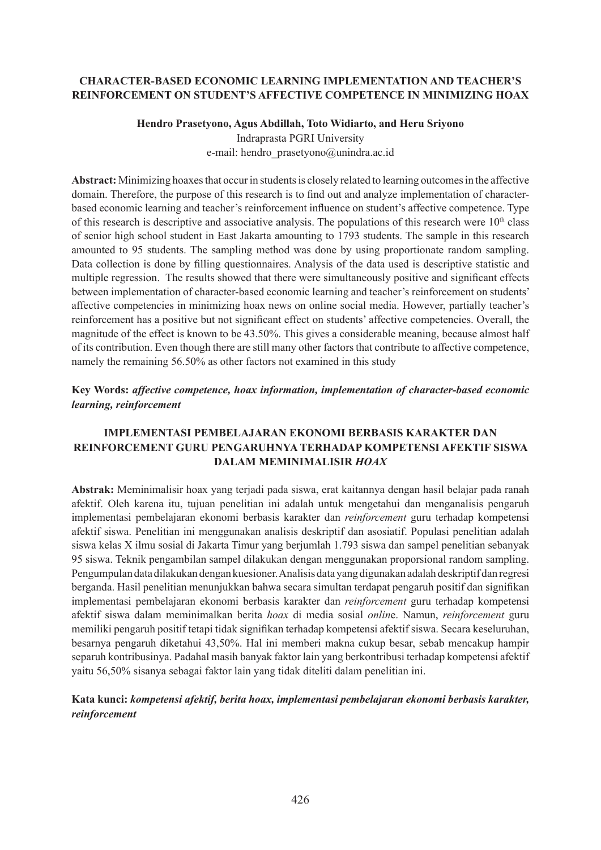#### **CHARACTER-BASED ECONOMIC LEARNING IMPLEMENTATION AND TEACHER'S REINFORCEMENT ON STUDENT'S AFFECTIVE COMPETENCE IN MINIMIZING HOAX**

# **Hendro Prasetyono, Agus Abdillah, Toto Widiarto, and Heru Sriyono** Indraprasta PGRI University

e-mail: hendro\_prasetyono@unindra.ac.id

**Abstract:** Minimizing hoaxes that occur in students is closely related to learning outcomes in the affective domain. Therefore, the purpose of this research is to find out and analyze implementation of characterbased economic learning and teacher's reinforcement influence on student's affective competence. Type of this research is descriptive and associative analysis. The populations of this research were  $10<sup>th</sup>$  class of senior high school student in East Jakarta amounting to 1793 students. The sample in this research amounted to 95 students. The sampling method was done by using proportionate random sampling. Data collection is done by filling questionnaires. Analysis of the data used is descriptive statistic and multiple regression. The results showed that there were simultaneously positive and significant effects between implementation of character-based economic learning and teacher's reinforcement on students' affective competencies in minimizing hoax news on online social media. However, partially teacher's reinforcement has a positive but not significant effect on students' affective competencies. Overall, the magnitude of the effect is known to be 43.50%. This gives a considerable meaning, because almost half of its contribution. Even though there are still many other factors that contribute to affective competence, namely the remaining 56.50% as other factors not examined in this study

## **Key Words:** *affective competence, hoax information, implementation of character-based economic learning, reinforcement*

## **IMPLEMENTASI PEMBELAJARAN EKONOMI BERBASIS KARAKTER DAN REINFORCEMENT GURU PENGARUHNYA TERHADAP KOMPETENSI AFEKTIF SISWA DALAM MEMINIMALISIR** *HOAX*

**Abstrak:** Meminimalisir hoax yang terjadi pada siswa, erat kaitannya dengan hasil belajar pada ranah afektif. Oleh karena itu, tujuan penelitian ini adalah untuk mengetahui dan menganalisis pengaruh implementasi pembelajaran ekonomi berbasis karakter dan *reinforcement* guru terhadap kompetensi afektif siswa. Penelitian ini menggunakan analisis deskriptif dan asosiatif. Populasi penelitian adalah siswa kelas X ilmu sosial di Jakarta Timur yang berjumlah 1.793 siswa dan sampel penelitian sebanyak 95 siswa. Teknik pengambilan sampel dilakukan dengan menggunakan proporsional random sampling. Pengumpulan data dilakukan dengan kuesioner. Analisis data yang digunakan adalah deskriptif dan regresi berganda. Hasil penelitian menunjukkan bahwa secara simultan terdapat pengaruh positif dan signifikan implementasi pembelajaran ekonomi berbasis karakter dan *reinforcement* guru terhadap kompetensi afektif siswa dalam meminimalkan berita *hoax* di media sosial *onlin*e. Namun, *reinforcement* guru memiliki pengaruh positif tetapi tidak signifikan terhadap kompetensi afektif siswa. Secara keseluruhan, besarnya pengaruh diketahui 43,50%. Hal ini memberi makna cukup besar, sebab mencakup hampir separuh kontribusinya. Padahal masih banyak faktor lain yang berkontribusi terhadap kompetensi afektif yaitu 56,50% sisanya sebagai faktor lain yang tidak diteliti dalam penelitian ini.

## **Kata kunci:** *kompetensi afektif, berita hoax, implementasi pembelajaran ekonomi berbasis karakter, reinforcement*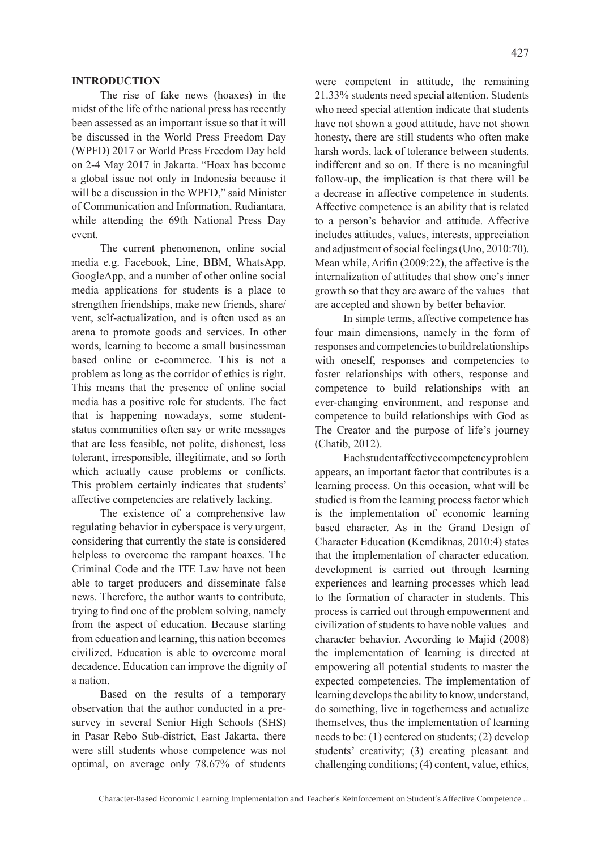The rise of fake news (hoaxes) in the midst of the life of the national press has recently been assessed as an important issue so that it will be discussed in the World Press Freedom Day (WPFD) 2017 or World Press Freedom Day held on 2-4 May 2017 in Jakarta. "Hoax has become a global issue not only in Indonesia because it will be a discussion in the WPFD," said Minister of Communication and Information, Rudiantara, while attending the 69th National Press Day event.

The current phenomenon, online social media e.g. Facebook, Line, BBM, WhatsApp, GoogleApp, and a number of other online social media applications for students is a place to strengthen friendships, make new friends, share/ vent, self-actualization, and is often used as an arena to promote goods and services. In other words, learning to become a small businessman based online or e-commerce. This is not a problem as long as the corridor of ethics is right. This means that the presence of online social media has a positive role for students. The fact that is happening nowadays, some studentstatus communities often say or write messages that are less feasible, not polite, dishonest, less tolerant, irresponsible, illegitimate, and so forth which actually cause problems or conflicts. This problem certainly indicates that students' affective competencies are relatively lacking.

The existence of a comprehensive law regulating behavior in cyberspace is very urgent, considering that currently the state is considered helpless to overcome the rampant hoaxes. The Criminal Code and the ITE Law have not been able to target producers and disseminate false news. Therefore, the author wants to contribute, trying to find one of the problem solving, namely from the aspect of education. Because starting from education and learning, this nation becomes civilized. Education is able to overcome moral decadence. Education can improve the dignity of a nation.

Based on the results of a temporary observation that the author conducted in a presurvey in several Senior High Schools (SHS) in Pasar Rebo Sub-district, East Jakarta, there were still students whose competence was not optimal, on average only 78.67% of students were competent in attitude, the remaining 21.33% students need special attention. Students who need special attention indicate that students have not shown a good attitude, have not shown honesty, there are still students who often make harsh words, lack of tolerance between students, indifferent and so on. If there is no meaningful follow-up, the implication is that there will be a decrease in affective competence in students. Affective competence is an ability that is related to a person's behavior and attitude. Affective includes attitudes, values, interests, appreciation and adjustment of social feelings (Uno, 2010:70). Mean while, Arifin (2009:22), the affective is the internalization of attitudes that show one's inner growth so that they are aware of the values that are accepted and shown by better behavior.

In simple terms, affective competence has four main dimensions, namely in the form of responses and competencies to build relationships with oneself, responses and competencies to foster relationships with others, response and competence to build relationships with an ever-changing environment, and response and competence to build relationships with God as The Creator and the purpose of life's journey (Chatib, 2012).

Each student affective competency problem appears, an important factor that contributes is a learning process. On this occasion, what will be studied is from the learning process factor which is the implementation of economic learning based character. As in the Grand Design of Character Education (Kemdiknas, 2010:4) states that the implementation of character education, development is carried out through learning experiences and learning processes which lead to the formation of character in students. This process is carried out through empowerment and civilization of students to have noble values and character behavior. According to Majid (2008) the implementation of learning is directed at empowering all potential students to master the expected competencies. The implementation of learning develops the ability to know, understand, do something, live in togetherness and actualize themselves, thus the implementation of learning needs to be: (1) centered on students; (2) develop students' creativity; (3) creating pleasant and challenging conditions; (4) content, value, ethics,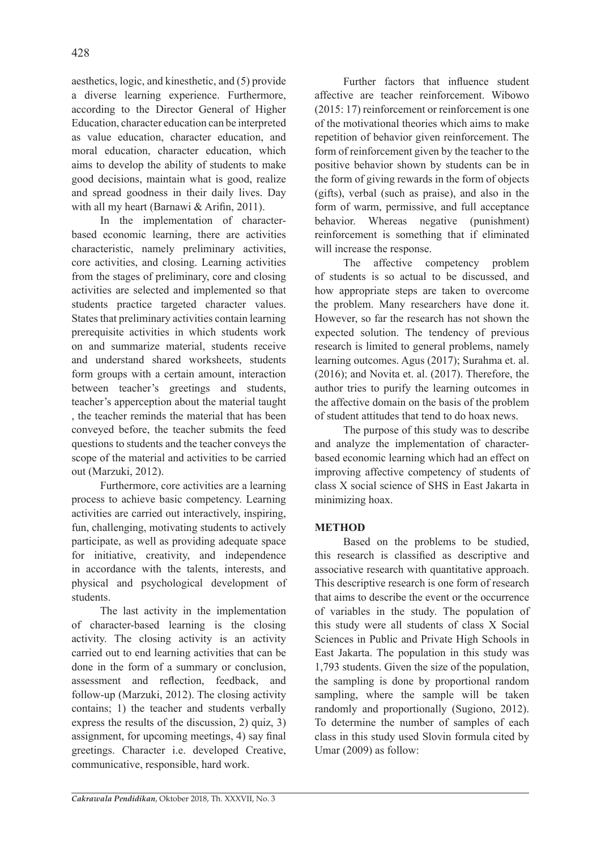aesthetics, logic, and kinesthetic, and (5) provide a diverse learning experience. Furthermore, according to the Director General of Higher Education, character education can be interpreted as value education, character education, and moral education, character education, which aims to develop the ability of students to make good decisions, maintain what is good, realize and spread goodness in their daily lives. Day with all my heart (Barnawi & Arifin, 2011).

In the implementation of characterbased economic learning, there are activities characteristic, namely preliminary activities, core activities, and closing. Learning activities from the stages of preliminary, core and closing activities are selected and implemented so that students practice targeted character values. States that preliminary activities contain learning prerequisite activities in which students work on and summarize material, students receive and understand shared worksheets, students form groups with a certain amount, interaction between teacher's greetings and students, teacher's apperception about the material taught , the teacher reminds the material that has been conveyed before, the teacher submits the feed questions to students and the teacher conveys the scope of the material and activities to be carried out (Marzuki, 2012).

Furthermore, core activities are a learning process to achieve basic competency. Learning activities are carried out interactively, inspiring, fun, challenging, motivating students to actively participate, as well as providing adequate space for initiative, creativity, and independence in accordance with the talents, interests, and physical and psychological development of students.

The last activity in the implementation of character-based learning is the closing activity. The closing activity is an activity carried out to end learning activities that can be done in the form of a summary or conclusion, assessment and reflection, feedback, and follow-up (Marzuki, 2012). The closing activity contains; 1) the teacher and students verbally express the results of the discussion, 2) quiz, 3) assignment, for upcoming meetings, 4) say final greetings. Character i.e. developed Creative, communicative, responsible, hard work.

Further factors that influence student affective are teacher reinforcement. Wibowo (2015: 17) reinforcement or reinforcement is one of the motivational theories which aims to make repetition of behavior given reinforcement. The form of reinforcement given by the teacher to the positive behavior shown by students can be in the form of giving rewards in the form of objects (gifts), verbal (such as praise), and also in the form of warm, permissive, and full acceptance behavior. Whereas negative (punishment) reinforcement is something that if eliminated will increase the response.

The affective competency problem of students is so actual to be discussed, and how appropriate steps are taken to overcome the problem. Many researchers have done it. However, so far the research has not shown the expected solution. The tendency of previous research is limited to general problems, namely learning outcomes. Agus (2017); Surahma et. al. (2016); and Novita et. al. (2017). Therefore, the author tries to purify the learning outcomes in the affective domain on the basis of the problem of student attitudes that tend to do hoax news.

The purpose of this study was to describe and analyze the implementation of characterbased economic learning which had an effect on improving affective competency of students of class X social science of SHS in East Jakarta in minimizing hoax.

## **METHOD**

Based on the problems to be studied, this research is classified as descriptive and associative research with quantitative approach. This descriptive research is one form of research that aims to describe the event or the occurrence of variables in the study. The population of this study were all students of class X Social Sciences in Public and Private High Schools in East Jakarta. The population in this study was 1,793 students. Given the size of the population, the sampling is done by proportional random sampling, where the sample will be taken randomly and proportionally (Sugiono, 2012). To determine the number of samples of each class in this study used Slovin formula cited by Umar (2009) as follow: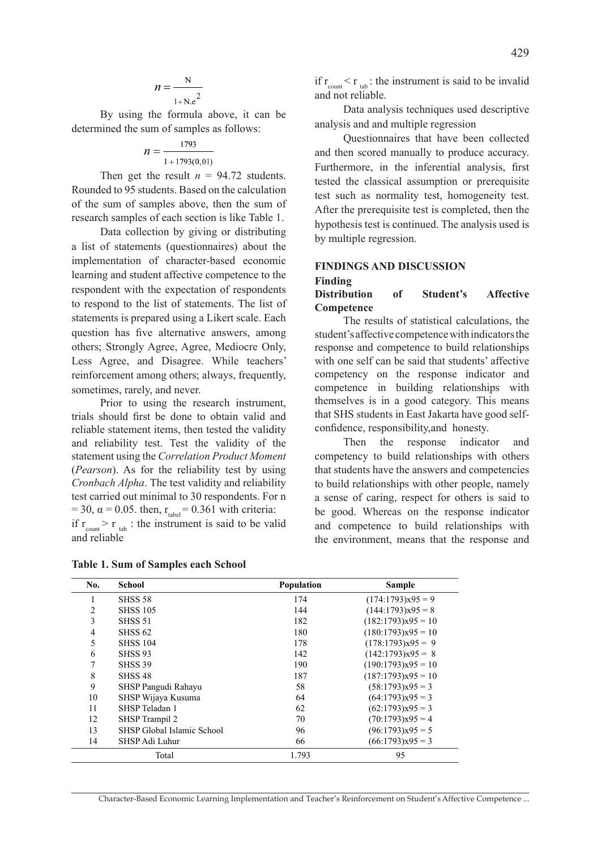By using the formula above, it can be determined the sum of samples as follows:

$$
n = \frac{1793}{1 + 1793(0,01)}
$$

Then get the result  $n = 94.72$  students. Rounded to 95 students. Based on the calculation of the sum of samples above, then the sum of research samples of each section is like Table 1.

Data collection by giving or distributing a list of statements (questionnaires) about the implementation of character-based economic learning and student affective competence to the respondent with the expectation of respondents to respond to the list of statements. The list of statements is prepared using a Likert scale. Each question has five alternative answers, among others; Strongly Agree, Agree, Mediocre Only, Less Agree, and Disagree. While teachers' reinforcement among others; always, frequently, sometimes, rarely, and never.

Prior to using the research instrument, trials should first be done to obtain valid and reliable statement items, then tested the validity and reliability test. Test the validity of the statement using the *Correlation Product Moment* (*Pearson*). As for the reliability test by using *Cronbach Alpha*. The test validity and reliability test carried out minimal to 30 respondents. For n = 30,  $\alpha$  = 0.05. then,  $r_{table}$  = 0.361 with criteria: if  $r_{\text{count}}$  > r<sub>tab</sub> : the instrument is said to be valid and reliable

if  $r_{\text{count}} < r_{\text{tab}}$ : the instrument is said to be invalid and not reliable.

Data analysis techniques used descriptive analysis and and multiple regression

Questionnaires that have been collected and then scored manually to produce accuracy. Furthermore, in the inferential analysis, first tested the classical assumption or prerequisite test such as normality test, homogeneity test. After the prerequisite test is completed, then the hypothesis test is continued. The analysis used is by multiple regression.

# **FINDINGS AND DISCUSSION Finding**

#### **Distribution of Student's Affective Competence**

The results of statistical calculations, the student's affective competence with indicators the response and competence to build relationships with one self can be said that students' affective competency on the response indicator and competence in building relationships with themselves is in a good category. This means that SHS students in East Jakarta have good selfconfidence, responsibility,and honesty.

Then the response indicator and competency to build relationships with others that students have the answers and competencies to build relationships with other people, namely a sense of caring, respect for others is said to be good. Whereas on the response indicator and competence to build relationships with the environment, means that the response and

| No.            | <b>School</b>              | Population | Sample               |
|----------------|----------------------------|------------|----------------------|
| 1              | <b>SHSS 58</b>             | 174        | $(174:1793)x95=9$    |
| $\overline{c}$ | <b>SHSS 105</b>            | 144        | $(144:1793)x95=8$    |
| 3              | <b>SHSS 51</b>             | 182        | $(182:1793)x95 = 10$ |
| 4              | <b>SHSS 62</b>             | 180        | $(180:1793)x95=10$   |
| 5              | <b>SHSS 104</b>            | 178        | $(178:1793)x95 = 9$  |
| 6              | <b>SHSS 93</b>             | 142        | $(142:1793)x95 = 8$  |
| 7              | <b>SHSS 39</b>             | 190        | $(190:1793)x95 = 10$ |
| 8              | SHSS <sub>48</sub>         | 187        | $(187:1793)x95 = 10$ |
| 9              | SHSP Pangudi Rahayu        | 58         | $(58:1793)x95=3$     |
| 10             | SHSP Wijaya Kusuma         | 64         | $(64:1793)x95 = 3$   |
| 11             | SHSP Teladan 1             | 62         | $(62:1793)x95 = 3$   |
| 12             | SHSP Trampil 2             | 70         | $(70:1793)x95=4$     |
| 13             | SHSP Global Islamic School | 96         | $(96:1793)x95=5$     |
| 14             | SHSP Adi Luhur             | 66         | $(66:1793)x95 = 3$   |
|                | Total                      | 1.793      | 95                   |

**Table 1. Sum of Samples each School**

Character-Based Economic Learning Implementation and Teacher's Reinforcement on Student'sAffective Competence ...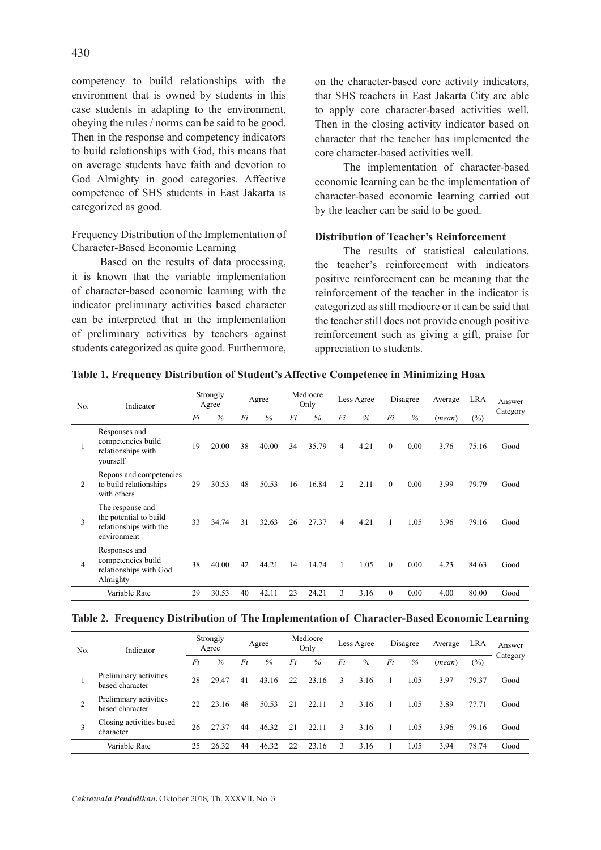competency to build relationships with the environment that is owned by students in this case students in adapting to the environment, obeying the rules / norms can be said to be good. Then in the response and competency indicators to build relationships with God, this means that on average students have faith and devotion to God Almighty in good categories. Affective competence of SHS students in East Jakarta is categorized as good.

Frequency Distribution of the Implementation of Character-Based Economic Learning

Based on the results of data processing, it is known that the variable implementation of character-based economic learning with the indicator preliminary activities based character can be interpreted that in the implementation of preliminary activities by teachers against students categorized as quite good. Furthermore, on the character-based core activity indicators, that SHS teachers in East Jakarta City are able to apply core character-based activities well. Then in the closing activity indicator based on character that the teacher has implemented the core character-based activities well.

The implementation of character-based economic learning can be the implementation of character-based economic learning carried out by the teacher can be said to be good.

#### **Distribution of Teacher's Reinforcement**

The results of statistical calculations, the teacher's reinforcement with indicators positive reinforcement can be meaning that the reinforcement of the teacher in the indicator is categorized as still mediocre or it can be said that the teacher still does not provide enough positive reinforcement such as giving a gift, praise for appreciation to students.

|  |  |  | Table 1. Frequency Distribution of Student's Affective Competence in Minimizing Hoax |  |
|--|--|--|--------------------------------------------------------------------------------------|--|
|  |  |  |                                                                                      |  |

| No. | Indicator                                                                           |    | Strongly<br>Agree |    | Agree |    | Mediocre<br>Only |                | Less Agree |              | Disagree | Average | <b>LRA</b> | Answer   |
|-----|-------------------------------------------------------------------------------------|----|-------------------|----|-------|----|------------------|----------------|------------|--------------|----------|---------|------------|----------|
|     |                                                                                     | Fi | $\frac{0}{0}$     | Fi | $\%$  | Fi | $\%$             | Fi             | $\%$       | Fi           | $\%$     | (mean)  | $(\%)$     | Category |
| 1   | Responses and<br>competencies build<br>relationships with<br>yourself               | 19 | 20.00             | 38 | 40.00 | 34 | 35.79            | 4              | 4.21       | $\theta$     | 0.00     | 3.76    | 75.16      | Good     |
| 2   | Repons and competencies<br>to build relationships<br>with others                    | 29 | 30.53             | 48 | 50.53 | 16 | 16.84            | 2              | 2.11       | $\theta$     | 0.00     | 3.99    | 79.79      | Good     |
| 3   | The response and<br>the potential to build<br>relationships with the<br>environment | 33 | 34.74             | 31 | 32.63 | 26 | 27.37            | $\overline{4}$ | 4.21       | 1            | 1.05     | 3.96    | 79.16      | Good     |
| 4   | Responses and<br>competencies build<br>relationships with God<br>Almighty           | 38 | 40.00             | 42 | 44.21 | 14 | 14.74            | 1              | 1.05       | $\mathbf{0}$ | 0.00     | 4.23    | 84.63      | Good     |
|     | Variable Rate                                                                       | 29 | 30.53             | 40 | 42.11 | 23 | 24.21            | $\mathcal{E}$  | 3.16       | $\theta$     | 0.00     | 4.00    | 80.00      | Good     |

|  | Table 2. Frequency Distribution of The Implementation of Character-Based Economic Learning |  |
|--|--------------------------------------------------------------------------------------------|--|
|  |                                                                                            |  |

| No. | Indicator                                 |    | Strongly<br>Agree |    | Agree |    | Mediocre<br>Only |    | Less Agree |    | Disagree | Average | <b>LRA</b> | Answer   |
|-----|-------------------------------------------|----|-------------------|----|-------|----|------------------|----|------------|----|----------|---------|------------|----------|
|     |                                           | Fi | %                 | Fi | $\%$  | Fi | $\frac{0}{0}$    | Fi | %          | Fi | $\%$     | (mean)  | $(\%)$     | Category |
|     | Preliminary activities<br>based character | 28 | 29.47             | 41 | 43.16 | 22 | 23.16            | 3  | 3.16       |    | 1.05     | 3.97    | 79.37      | Good     |
|     | Preliminary activities<br>based character | 22 | 23.16             | 48 | 50.53 | 21 | 22.11            | 3  | 3.16       |    | 1.05     | 3.89    | 77.71      | Good     |
|     | Closing activities based<br>character     | 26 | 27.37             | 44 | 46.32 | 21 | 22.11            | 3  | 3.16       |    | 1.05     | 3.96    | 79.16      | Good     |
|     | Variable Rate                             | 25 | 26.32             | 44 | 46.32 | 22 | 23.16            |    | 3.16       |    | 1.05     | 3.94    | 78.74      | Good     |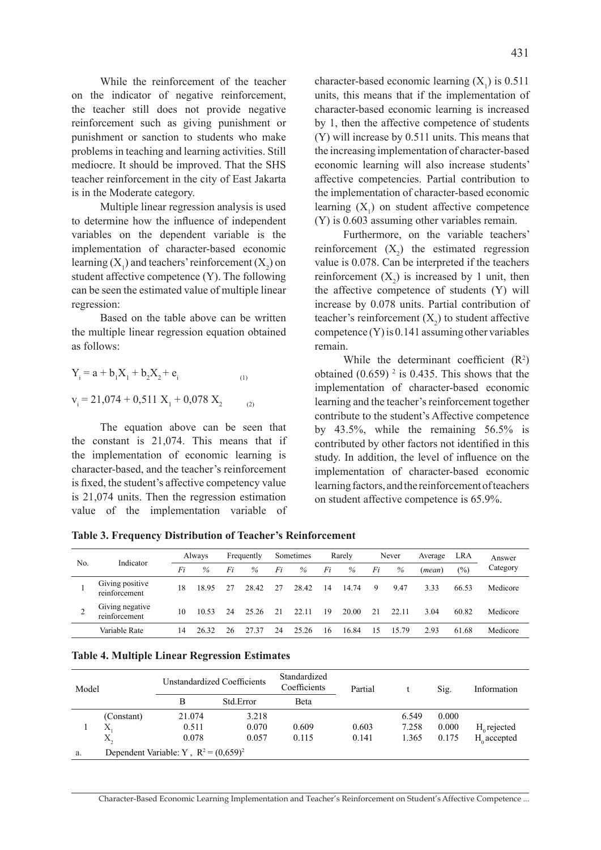While the reinforcement of the teacher on the indicator of negative reinforcement, the teacher still does not provide negative reinforcement such as giving punishment or punishment or sanction to students who make problems in teaching and learning activities. Still mediocre. It should be improved. That the SHS teacher reinforcement in the city of East Jakarta is in the Moderate category.

Multiple linear regression analysis is used to determine how the influence of independent variables on the dependent variable is the implementation of character-based economic learning  $(X_1)$  and teachers' reinforcement  $(X_2)$  on student affective competence (Y). The following can be seen the estimated value of multiple linear regression:

Based on the table above can be written the multiple linear regression equation obtained as follows:

$$
Y_i = a + b_1 X_1 + b_2 X_2 + e_i
$$
  
\n
$$
v_i = 21,074 + 0,511 X_1 + 0,078 X_2
$$
 (1)

The equation above can be seen that the constant is 21,074. This means that if the implementation of economic learning is character-based, and the teacher's reinforcement is fixed, the student's affective competency value is 21,074 units. Then the regression estimation value of the implementation variable of

character-based economic learning  $(X_1)$  is 0.511 units, this means that if the implementation of character-based economic learning is increased by 1, then the affective competence of students (Y) will increase by 0.511 units. This means that the increasing implementation of character-based economic learning will also increase students' affective competencies. Partial contribution to the implementation of character-based economic learning  $(X_1)$  on student affective competence (Y) is 0.603 assuming other variables remain.

Furthermore, on the variable teachers' reinforcement  $(X_2)$  the estimated regression value is 0.078. Can be interpreted if the teachers reinforcement  $(X_2)$  is increased by 1 unit, then the affective competence of students (Y) will increase by 0.078 units. Partial contribution of teacher's reinforcement  $(X_2)$  to student affective competence (Y) is 0.141 assuming other variables remain.

While the determinant coefficient  $(R^2)$ obtained  $(0.659)$ <sup>2</sup> is 0.435. This shows that the implementation of character-based economic learning and the teacher's reinforcement together contribute to the student's Affective competence by 43.5%, while the remaining 56.5% is contributed by other factors not identified in this study. In addition, the level of influence on the implementation of character-based economic learning factors, and the reinforcement of teachers on student affective competence is 65.9%.

**Table 3. Frequency Distribution of Teacher's Reinforcement**

| No. | Indicator                        |    | Always |    | Frequently |    | Sometimes |    | Rarely |    | Never | Average | <b>LRA</b>        | Answer   |
|-----|----------------------------------|----|--------|----|------------|----|-----------|----|--------|----|-------|---------|-------------------|----------|
|     |                                  | Fi | $\%$   | Fi | $\%$       | Fi | %         | Fi | $\%$   | Fi | %     | (mean)  | $\left(\%\right)$ | Category |
|     | Giving positive<br>reinforcement | 18 | 18.95  | 27 | 28.42      | 27 | 28.42     | 14 | 14.74  | 9  | 9.47  | 3.33    | 66.53             | Medicore |
|     | Giving negative<br>reinforcement | 10 | 10.53  | 24 | 25.26      | 21 | 22.11     | 19 | 20.00  | 21 | 22.11 | 3.04    | 60.82             | Medicore |
|     | Variable Rate                    | 14 | 26.32  | 26 | 27.37      | 24 | 25.26     | 16 | 16.84  | 15 | 15.79 | 2.93    | 61.68             | Medicore |

|  |  |  | <b>Table 4. Multiple Linear Regression Estimates</b> |  |
|--|--|--|------------------------------------------------------|--|
|--|--|--|------------------------------------------------------|--|

| Model |            |                                          | Unstandardized Coefficients | Standardized<br>Coefficients | Partial |       | Sig.  | Information    |
|-------|------------|------------------------------------------|-----------------------------|------------------------------|---------|-------|-------|----------------|
|       |            | B                                        | Std Error                   | Beta                         |         |       |       |                |
|       | (Constant) | 21.074                                   | 3.218                       |                              |         | 6.549 | 0.000 |                |
|       | Х          | 0.511                                    | 0.070                       | 0.609                        | 0.603   | 7.258 | 0.000 | $H_0$ rejected |
|       | X,         | 0.078                                    | 0.057                       | 0.115                        | 0.141   | 1.365 | 0.175 | $H_0$ accepted |
| a.    |            | Dependent Variable: Y, $R^2 = (0.659)^2$ |                             |                              |         |       |       |                |

Character-Based Economic Learning Implementation and Teacher's Reinforcement on Student'sAffective Competence ...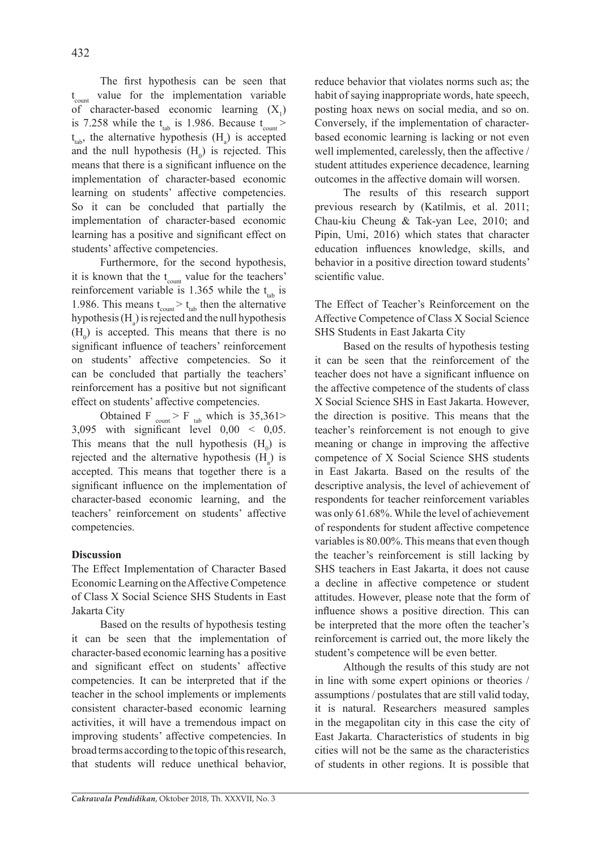The first hypothesis can be seen that t count value for the implementation variable of character-based economic learning  $(X_1)$ is 7.258 while the  $t_{lab}$  is 1.986. Because  $t_{count}$  $t_{\text{tab}}$ , the alternative hypothesis  $(H_a)$  is accepted and the null hypothesis  $(H_0)$  is rejected. This means that there is a significant influence on the implementation of character-based economic learning on students' affective competencies. So it can be concluded that partially the implementation of character-based economic learning has a positive and significant effect on students' affective competencies.

Furthermore, for the second hypothesis, it is known that the  $t_{\text{count}}$  value for the teachers' reinforcement variable is 1.365 while the  $t_{\text{tab}}$  is 1.986. This means  $t_{\text{count}} > t_{\text{tab}}$  then the alternative hypothesis  $(H_a)$  is rejected and the null hypothesis  $(H_0)$  is accepted. This means that there is no significant influence of teachers' reinforcement on students' affective competencies. So it can be concluded that partially the teachers' reinforcement has a positive but not significant effect on students' affective competencies.

Obtained F  $_{\text{count}}$  > F  $_{\text{tab}}$  which is 35,361>  $3,095$  with significant level  $0,00 < 0,05$ . This means that the null hypothesis  $(H_0)$  is rejected and the alternative hypothesis  $(H_a)$  is accepted. This means that together there is a significant influence on the implementation of character-based economic learning, and the teachers' reinforcement on students' affective competencies.

#### **Discussion**

The Effect Implementation of Character Based Economic Learning on the Affective Competence of Class X Social Science SHS Students in East Jakarta City

Based on the results of hypothesis testing it can be seen that the implementation of character-based economic learning has a positive and significant effect on students' affective competencies. It can be interpreted that if the teacher in the school implements or implements consistent character-based economic learning activities, it will have a tremendous impact on improving students' affective competencies. In broad terms according to the topic of this research, that students will reduce unethical behavior, reduce behavior that violates norms such as; the habit of saying inappropriate words, hate speech, posting hoax news on social media, and so on. Conversely, if the implementation of characterbased economic learning is lacking or not even well implemented, carelessly, then the affective / student attitudes experience decadence, learning outcomes in the affective domain will worsen.

The results of this research support previous research by (Katilmis, et al. 2011; Chau-kiu Cheung & Tak-yan Lee, 2010; and Pipin, Umi, 2016) which states that character education influences knowledge, skills, and behavior in a positive direction toward students' scientific value.

The Effect of Teacher's Reinforcement on the Affective Competence of Class X Social Science SHS Students in East Jakarta City

Based on the results of hypothesis testing it can be seen that the reinforcement of the teacher does not have a significant influence on the affective competence of the students of class X Social Science SHS in East Jakarta. However, the direction is positive. This means that the teacher's reinforcement is not enough to give meaning or change in improving the affective competence of X Social Science SHS students in East Jakarta. Based on the results of the descriptive analysis, the level of achievement of respondents for teacher reinforcement variables was only 61.68%. While the level of achievement of respondents for student affective competence variables is 80.00%. This means that even though the teacher's reinforcement is still lacking by SHS teachers in East Jakarta, it does not cause a decline in affective competence or student attitudes. However, please note that the form of influence shows a positive direction. This can be interpreted that the more often the teacher's reinforcement is carried out, the more likely the student's competence will be even better.

Although the results of this study are not in line with some expert opinions or theories / assumptions / postulates that are still valid today, it is natural. Researchers measured samples in the megapolitan city in this case the city of East Jakarta. Characteristics of students in big cities will not be the same as the characteristics of students in other regions. It is possible that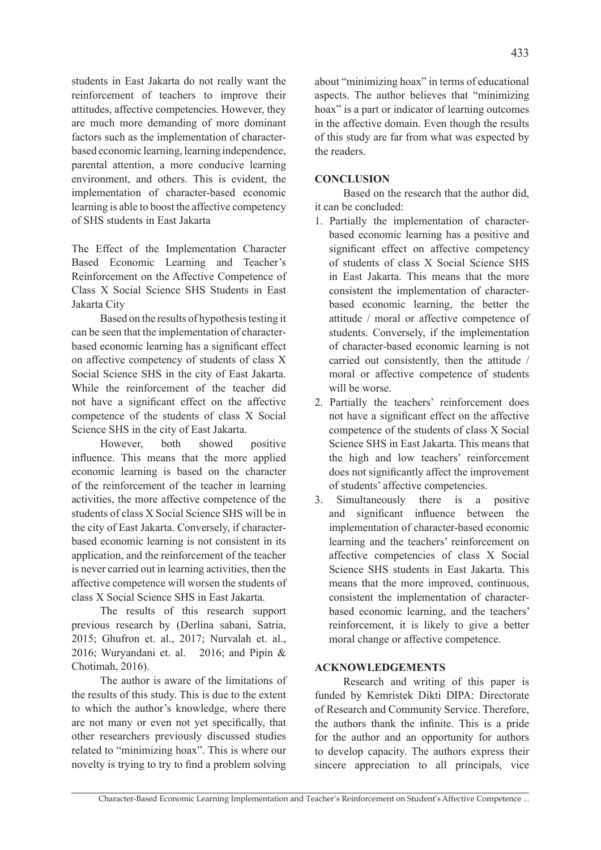students in East Jakarta do not really want the reinforcement of teachers to improve their attitudes, affective competencies. However, they are much more demanding of more dominant factors such as the implementation of characterbased economic learning, learning independence, parental attention, a more conducive learning environment, and others. This is evident, the implementation of character-based economic learning is able to boost the affective competency of SHS students in East Jakarta

The Effect of the Implementation Character Based Economic Learning and Teacher's Reinforcement on the Affective Competence of Class X Social Science SHS Students in East Jakarta City

Based on the results of hypothesis testing it can be seen that the implementation of characterbased economic learning has a significant effect on affective competency of students of class X Social Science SHS in the city of East Jakarta. While the reinforcement of the teacher did not have a significant effect on the affective competence of the students of class X Social Science SHS in the city of East Jakarta.

However, both showed positive influence. This means that the more applied economic learning is based on the character of the reinforcement of the teacher in learning activities, the more affective competence of the students of class X Social Science SHS will be in the city of East Jakarta. Conversely, if characterbased economic learning is not consistent in its application, and the reinforcement of the teacher is never carried out in learning activities, then the affective competence will worsen the students of class X Social Science SHS in East Jakarta.

The results of this research support previous research by (Derlina sabani, Satria, 2015; Ghufron et. al., 2017; Nurvalah et. al., 2016; Wuryandani et. al. 2016; and Pipin & Chotimah, 2016).

The author is aware of the limitations of the results of this study. This is due to the extent to which the author's knowledge, where there are not many or even not yet specifically, that other researchers previously discussed studies related to "minimizing hoax". This is where our novelty is trying to try to find a problem solving about "minimizing hoax" in terms of educational aspects. The author believes that "minimizing hoax" is a part or indicator of learning outcomes in the affective domain. Even though the results of this study are far from what was expected by the readers.

#### **CONCLUSION**

Based on the research that the author did, it can be concluded:

- 1. Partially the implementation of characterbased economic learning has a positive and significant effect on affective competency of students of class X Social Science SHS in East Jakarta. This means that the more consistent the implementation of characterbased economic learning, the better the attitude / moral or affective competence of students. Conversely, if the implementation of character-based economic learning is not carried out consistently, then the attitude / moral or affective competence of students will be worse.
- 2. Partially the teachers' reinforcement does not have a significant effect on the affective competence of the students of class X Social Science SHS in East Jakarta. This means that the high and low teachers' reinforcement does not significantly affect the improvement of students' affective competencies.
- 3. Simultaneously there is a positive and significant influence between the implementation of character-based economic learning and the teachers' reinforcement on affective competencies of class X Social Science SHS students in East Jakarta. This means that the more improved, continuous, consistent the implementation of characterbased economic learning, and the teachers' reinforcement, it is likely to give a better moral change or affective competence.

#### **ACKNOWLEDGEMENTS**

Research and writing of this paper is funded by Kemristek Dikti DIPA: Directorate of Research and Community Service. Therefore, the authors thank the infinite. This is a pride for the author and an opportunity for authors to develop capacity. The authors express their sincere appreciation to all principals, vice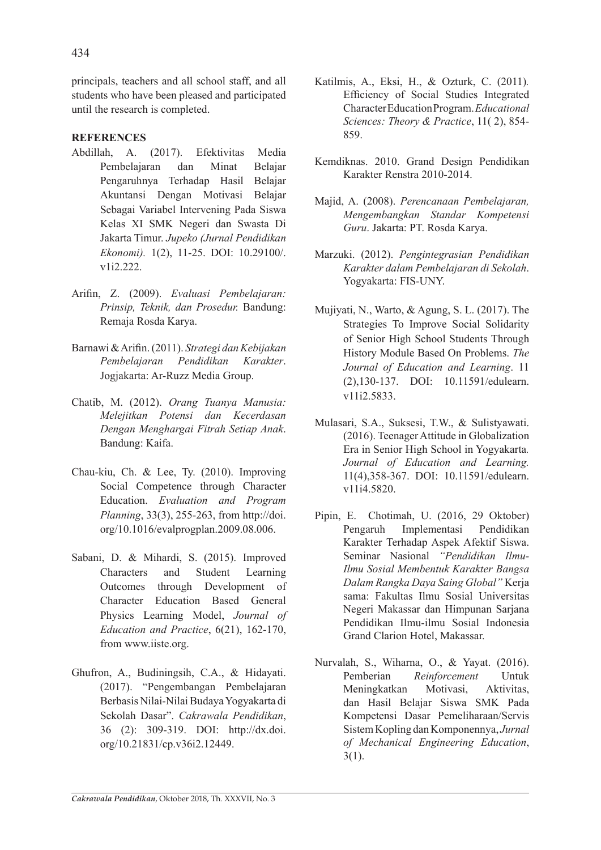principals, teachers and all school staff, and all students who have been pleased and participated until the research is completed.

### **REFERENCES**

- Abdillah, A. (2017). Efektivitas Media Pembelajaran dan Minat Belajar Pengaruhnya Terhadap Hasil Belajar Akuntansi Dengan Motivasi Belajar Sebagai Variabel Intervening Pada Siswa Kelas XI SMK Negeri dan Swasta Di Jakarta Timur. *Jupeko (Jurnal Pendidikan Ekonomi).* 1(2), 11-25. DOI: 10.29100/. v1i2.222.
- Arifin, Z. (2009). *Evaluasi Pembelajaran: Prinsip, Teknik, dan Prosedur.* Bandung: Remaja Rosda Karya.
- Barnawi & Arifin. (2011). *Strategi dan Kebijakan Pembelajaran Pendidikan Karakter*. Jogjakarta: Ar-Ruzz Media Group.
- Chatib, M. (2012). *Orang Tuanya Manusia: Melejitkan Potensi dan Kecerdasan Dengan Menghargai Fitrah Setiap Anak*. Bandung: Kaifa.
- Chau-kiu, Ch. & Lee, Ty. (2010). Improving Social Competence through Character Education. *Evaluation and Program Planning*, 33(3), 255-263, from http://doi. org/10.1016/evalprogplan.2009.08.006.
- Sabani, D. & Mihardi, S. (2015). Improved Characters and Student Learning Outcomes through Development of Character Education Based General Physics Learning Model, *Journal of Education and Practice*, 6(21), 162-170, from www.iiste.org.
- Ghufron, A., Budiningsih, C.A., & Hidayati. (2017). "Pengembangan Pembelajaran Berbasis Nilai-Nilai Budaya Yogyakarta di Sekolah Dasar". *Cakrawala Pendidikan*, 36 (2): 309-319. DOI: http://dx.doi. org/10.21831/cp.v36i2.12449.
- Katilmis, A., Eksi, H., & Ozturk, C. (2011)*.*  Efficiency of Social Studies Integrated Character Education Program. *Educational Sciences: Theory & Practice*, 11( 2), 854- 859.
- Kemdiknas. 2010. Grand Design Pendidikan Karakter Renstra 2010-2014.
- Majid, A. (2008). *Perencanaan Pembelajaran, Mengembangkan Standar Kompetensi Guru*. Jakarta: PT. Rosda Karya.
- Marzuki. (2012). *Pengintegrasian Pendidikan Karakter dalam Pembelajaran di Sekolah*. Yogyakarta: FIS-UNY.
- Mujiyati, N., Warto, & Agung, S. L. (2017). The Strategies To Improve Social Solidarity of Senior High School Students Through History Module Based On Problems. *The Journal of Education and Learning*. 11 (2),130-137. DOI: 10.11591/edulearn. v11i2.5833.
- Mulasari, S.A., Suksesi, T.W., & Sulistyawati. (2016). Teenager Attitude in Globalization Era in Senior High School in Yogyakarta*. Journal of Education and Learning.*  11(4),358-367. DOI: 10.11591/edulearn. v11i4.5820.
- Pipin, E. Chotimah, U. (2016, 29 Oktober) Pengaruh Implementasi Pendidikan Karakter Terhadap Aspek Afektif Siswa. Seminar Nasional *"Pendidikan Ilmu-Ilmu Sosial Membentuk Karakter Bangsa Dalam Rangka Daya Saing Global"* Kerja sama: Fakultas Ilmu Sosial Universitas Negeri Makassar dan Himpunan Sarjana Pendidikan Ilmu-ilmu Sosial Indonesia Grand Clarion Hotel, Makassar.
- Nurvalah, S., Wiharna, O., & Yayat. (2016). Pemberian *Reinforcement* Untuk Meningkatkan Motivasi, Aktivitas, dan Hasil Belajar Siswa SMK Pada Kompetensi Dasar Pemeliharaan/Servis Sistem Kopling dan Komponennya, *Jurnal of Mechanical Engineering Education*,  $3(1)$ .